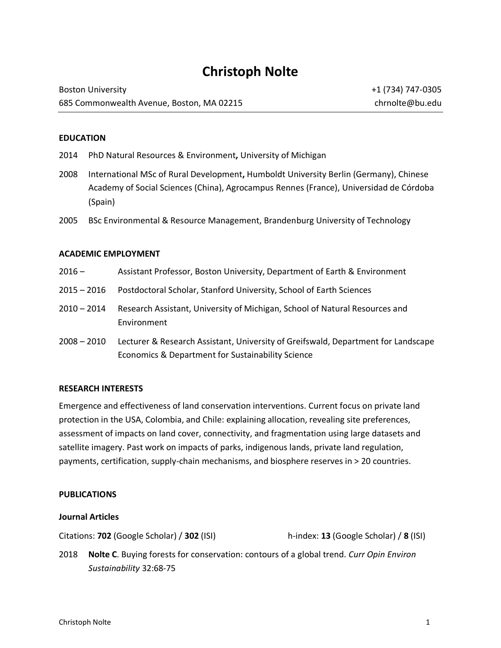# **Christoph Nolte**

| <b>Boston University</b>                  |  |
|-------------------------------------------|--|
| 685 Commonwealth Avenue, Boston, MA 02215 |  |

#### **EDUCATION**

- 2014 PhD Natural Resources & Environment**,** University of Michigan
- 2008 International MSc of Rural Development**,** Humboldt University Berlin (Germany), Chinese Academy of Social Sciences (China), Agrocampus Rennes (France), Universidad de Córdoba (Spain)
- 2005 BSc Environmental & Resource Management, Brandenburg University of Technology

#### **ACADEMIC EMPLOYMENT**

- 2016 Assistant Professor, Boston University, Department of Earth & Environment
- 2015 2016 Postdoctoral Scholar, Stanford University, School of Earth Sciences
- 2010 2014 Research Assistant, University of Michigan, School of Natural Resources and Environment
- 2008 2010 Lecturer & Research Assistant, University of Greifswald, Department for Landscape Economics & Department for Sustainability Science

#### **RESEARCH INTERESTS**

Emergence and effectiveness of land conservation interventions. Current focus on private land protection in the USA, Colombia, and Chile: explaining allocation, revealing site preferences, assessment of impacts on land cover, connectivity, and fragmentation using large datasets and satellite imagery. Past work on impacts of parks, indigenous lands, private land regulation, payments, certification, supply-chain mechanisms, and biosphere reserves in > 20 countries.

## **PUBLICATIONS**

#### **Journal Articles**

Citations: **702** (Google Scholar) / **302** (ISI) h-index: **13** (Google Scholar) / **8** (ISI)

2018 **Nolte C**. Buying forests for conservation: contours of a global trend. *Curr Opin Environ Sustainability* 32:68-75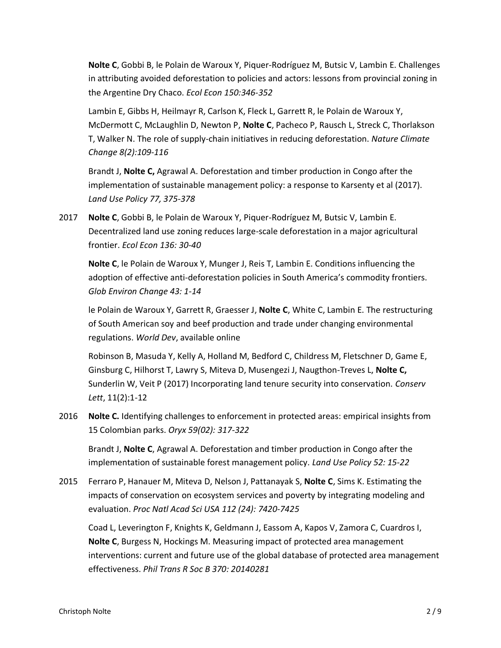**Nolte C**, Gobbi B, le Polain de Waroux Y, Piquer-Rodríguez M, Butsic V, Lambin E. Challenges in attributing avoided deforestation to policies and actors: lessons from provincial zoning in the Argentine Dry Chaco. *Ecol Econ 150:346-352*

Lambin E, Gibbs H, Heilmayr R, Carlson K, Fleck L, Garrett R, le Polain de Waroux Y, McDermott C, McLaughlin D, Newton P, **Nolte C**, Pacheco P, Rausch L, Streck C, Thorlakson T, Walker N. The role of supply-chain initiatives in reducing deforestation. *Nature Climate Change 8(2):109-116*

Brandt J, **Nolte C,** Agrawal A. Deforestation and timber production in Congo after the implementation of sustainable management policy: a response to Karsenty et al (2017). *Land Use Policy 77, 375-378*

2017 **Nolte C**, Gobbi B, le Polain de Waroux Y, Piquer-Rodríguez M, Butsic V, Lambin E. Decentralized land use zoning reduces large-scale deforestation in a major agricultural frontier. *Ecol Econ 136: 30-40*

**Nolte C**, le Polain de Waroux Y, Munger J, Reis T, Lambin E. Conditions influencing the adoption of effective anti-deforestation policies in South America's commodity frontiers. *Glob Environ Change 43: 1-14*

le Polain de Waroux Y, Garrett R, Graesser J, **Nolte C**, White C, Lambin E. The restructuring of South American soy and beef production and trade under changing environmental regulations. *World Dev*, available online

Robinson B, Masuda Y, Kelly A, Holland M, Bedford C, Childress M, Fletschner D, Game E, Ginsburg C, Hilhorst T, Lawry S, Miteva D, Musengezi J, Naugthon-Treves L, **Nolte C,** Sunderlin W, Veit P (2017) Incorporating land tenure security into conservation. *Conserv Lett*, 11(2):1-12

2016 **Nolte C.** Identifying challenges to enforcement in protected areas: empirical insights from 15 Colombian parks. *Oryx 59(02): 317-322*

Brandt J, **Nolte C**, Agrawal A. Deforestation and timber production in Congo after the implementation of sustainable forest management policy. *Land Use Policy 52: 15-22*

2015 Ferraro P, Hanauer M, Miteva D, Nelson J, Pattanayak S, **Nolte C**, Sims K. Estimating the impacts of conservation on ecosystem services and poverty by integrating modeling and evaluation. *Proc Natl Acad Sci USA 112 (24): 7420-7425*

Coad L, Leverington F, Knights K, Geldmann J, Eassom A, Kapos V, Zamora C, Cuardros I, **Nolte C**, Burgess N, Hockings M. Measuring impact of protected area management interventions: current and future use of the global database of protected area management effectiveness. *Phil Trans R Soc B 370: 20140281*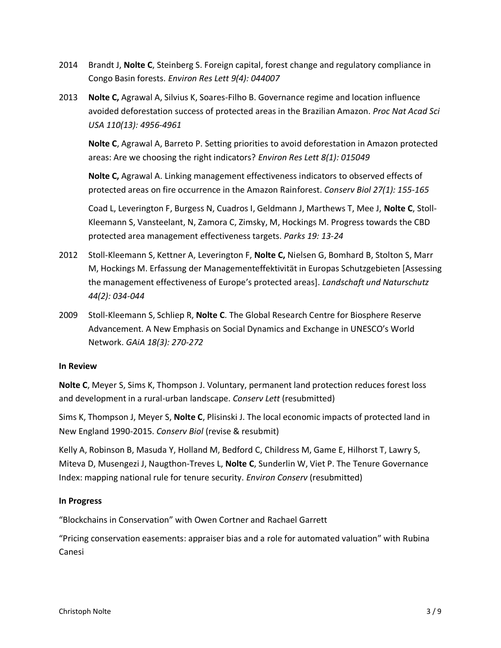- 2014 Brandt J, **Nolte C**, Steinberg S. Foreign capital, forest change and regulatory compliance in Congo Basin forests. *Environ Res Lett 9(4): 044007*
- 2013 **Nolte C,** Agrawal A, Silvius K, Soares-Filho B. Governance regime and location influence avoided deforestation success of protected areas in the Brazilian Amazon. *Proc Nat Acad Sci USA 110(13): 4956-4961*

**Nolte C**, Agrawal A, Barreto P. Setting priorities to avoid deforestation in Amazon protected areas: Are we choosing the right indicators? *Environ Res Lett 8(1): 015049*

**Nolte C,** Agrawal A. Linking management effectiveness indicators to observed effects of protected areas on fire occurrence in the Amazon Rainforest. *Conserv Biol 27(1): 155-165*

Coad L, Leverington F, Burgess N, Cuadros I, Geldmann J, Marthews T, Mee J, **Nolte C**, Stoll-Kleemann S, Vansteelant, N, Zamora C, Zimsky, M, Hockings M. Progress towards the CBD protected area management effectiveness targets. *Parks 19: 13-24*

- 2012 Stoll-Kleemann S, Kettner A, Leverington F, **Nolte C,** Nielsen G, Bomhard B, Stolton S, Marr M, Hockings M. Erfassung der Managementeffektivität in Europas Schutzgebieten [Assessing the management effectiveness of Europe's protected areas]. *Landschaft und Naturschutz 44(2): 034-044*
- 2009 Stoll-Kleemann S, Schliep R, **Nolte C**. The Global Research Centre for Biosphere Reserve Advancement. A New Emphasis on Social Dynamics and Exchange in UNESCO's World Network. *GAiA 18(3): 270-272*

## **In Review**

**Nolte C**, Meyer S, Sims K, Thompson J. Voluntary, permanent land protection reduces forest loss and development in a rural-urban landscape. *Conserv Lett* (resubmitted)

Sims K, Thompson J, Meyer S, **Nolte C**, Plisinski J. The local economic impacts of protected land in New England 1990-2015. *Conserv Biol* (revise & resubmit)

Kelly A, Robinson B, Masuda Y, Holland M, Bedford C, Childress M, Game E, Hilhorst T, Lawry S, Miteva D, Musengezi J, Naugthon-Treves L, **Nolte C**, Sunderlin W, Viet P. The Tenure Governance Index: mapping national rule for tenure security. *Environ Conserv* (resubmitted)

## **In Progress**

"Blockchains in Conservation" with Owen Cortner and Rachael Garrett

"Pricing conservation easements: appraiser bias and a role for automated valuation" with Rubina Canesi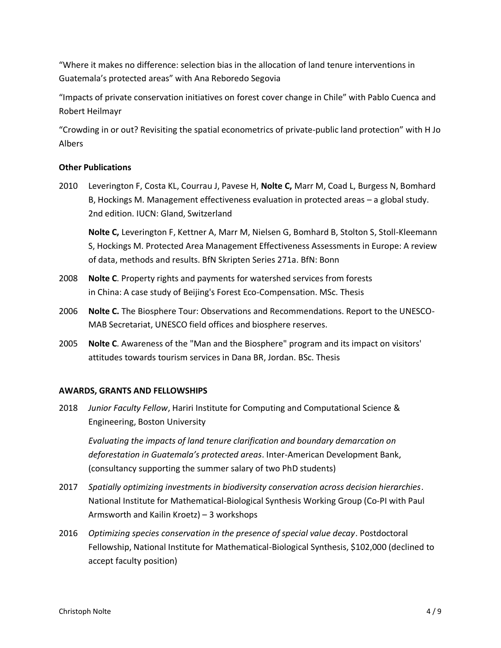"Where it makes no difference: selection bias in the allocation of land tenure interventions in Guatemala's protected areas" with Ana Reboredo Segovia

"Impacts of private conservation initiatives on forest cover change in Chile" with Pablo Cuenca and Robert Heilmayr

"Crowding in or out? Revisiting the spatial econometrics of private-public land protection" with H Jo Albers

# **Other Publications**

2010 Leverington F, Costa KL, Courrau J, Pavese H, **Nolte C,** Marr M, Coad L, Burgess N, Bomhard B, Hockings M. Management effectiveness evaluation in protected areas – a global study. 2nd edition. IUCN: Gland, Switzerland

**Nolte C,** Leverington F, Kettner A, Marr M, Nielsen G, Bomhard B, Stolton S, Stoll-Kleemann S, Hockings M. Protected Area Management Effectiveness Assessments in Europe: A review of data, methods and results. BfN Skripten Series 271a. BfN: Bonn

- 2008 **Nolte C**. Property rights and payments for watershed services from forests in China: A case study of Beijing's Forest Eco-Compensation. MSc. Thesis
- 2006 **Nolte C.** The Biosphere Tour: Observations and Recommendations. Report to the UNESCO-MAB Secretariat, UNESCO field offices and biosphere reserves.
- 2005 **Nolte C**. Awareness of the "Man and the Biosphere" program and its impact on visitors' attitudes towards tourism services in Dana BR, Jordan. BSc. Thesis

## **AWARDS, GRANTS AND FELLOWSHIPS**

2018 *Junior Faculty Fellow*, Hariri Institute for Computing and Computational Science & Engineering, Boston University

*Evaluating the impacts of land tenure clarification and boundary demarcation on deforestation in Guatemala's protected areas*. Inter-American Development Bank, (consultancy supporting the summer salary of two PhD students)

- 2017 *Spatially optimizing investments in biodiversity conservation across decision hierarchies*. National Institute for Mathematical-Biological Synthesis Working Group (Co-PI with Paul Armsworth and Kailin Kroetz) – 3 workshops
- 2016 *Optimizing species conservation in the presence of special value decay*. Postdoctoral Fellowship, National Institute for Mathematical-Biological Synthesis, \$102,000 (declined to accept faculty position)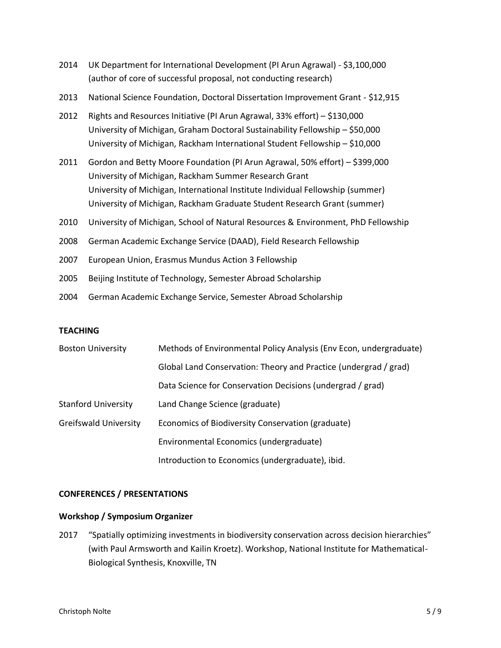- 2014 UK Department for International Development (PI Arun Agrawal) \$3,100,000 (author of core of successful proposal, not conducting research)
- 2013 National Science Foundation, Doctoral Dissertation Improvement Grant \$12,915
- 2012 Rights and Resources Initiative (PI Arun Agrawal, 33% effort) \$130,000 University of Michigan, Graham Doctoral Sustainability Fellowship – \$50,000 University of Michigan, Rackham International Student Fellowship – \$10,000
- 2011 Gordon and Betty Moore Foundation (PI Arun Agrawal, 50% effort) \$399,000 University of Michigan, Rackham Summer Research Grant University of Michigan, International Institute Individual Fellowship (summer) University of Michigan, Rackham Graduate Student Research Grant (summer)
- 2010 University of Michigan, School of Natural Resources & Environment, PhD Fellowship
- 2008 German Academic Exchange Service (DAAD), Field Research Fellowship
- 2007 European Union, Erasmus Mundus Action 3 Fellowship
- 2005 Beijing Institute of Technology, Semester Abroad Scholarship
- 2004 German Academic Exchange Service, Semester Abroad Scholarship

## **TEACHING**

| <b>Boston University</b>     | Methods of Environmental Policy Analysis (Env Econ, undergraduate) |
|------------------------------|--------------------------------------------------------------------|
|                              | Global Land Conservation: Theory and Practice (undergrad / grad)   |
|                              | Data Science for Conservation Decisions (undergrad / grad)         |
| <b>Stanford University</b>   | Land Change Science (graduate)                                     |
| <b>Greifswald University</b> | Economics of Biodiversity Conservation (graduate)                  |
|                              | Environmental Economics (undergraduate)                            |
|                              | Introduction to Economics (undergraduate), ibid.                   |

## **CONFERENCES / PRESENTATIONS**

## **Workshop / Symposium Organizer**

2017 "Spatially optimizing investments in biodiversity conservation across decision hierarchies" (with Paul Armsworth and Kailin Kroetz). Workshop, National Institute for Mathematical-Biological Synthesis, Knoxville, TN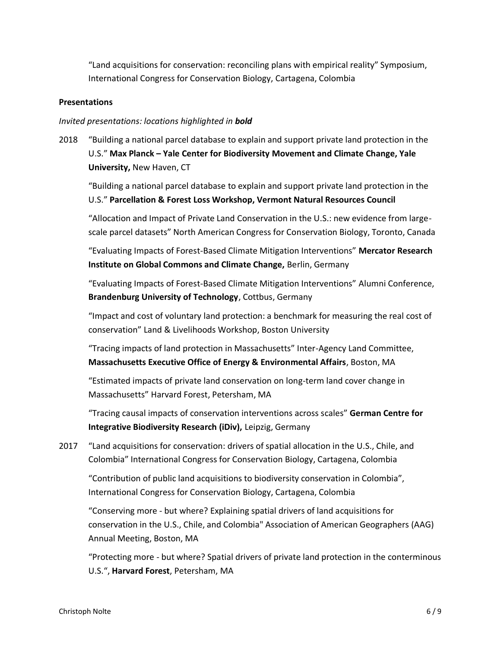"Land acquisitions for conservation: reconciling plans with empirical reality" Symposium, International Congress for Conservation Biology, Cartagena, Colombia

## **Presentations**

# *Invited presentations: locations highlighted in bold*

2018 "Building a national parcel database to explain and support private land protection in the U.S." **Max Planck – Yale Center for Biodiversity Movement and Climate Change, Yale University,** New Haven, CT

"Building a national parcel database to explain and support private land protection in the U.S." **Parcellation & Forest Loss Workshop, Vermont Natural Resources Council**

"Allocation and Impact of Private Land Conservation in the U.S.: new evidence from largescale parcel datasets" North American Congress for Conservation Biology, Toronto, Canada

"Evaluating Impacts of Forest-Based Climate Mitigation Interventions" **Mercator Research Institute on Global Commons and Climate Change,** Berlin, Germany

"Evaluating Impacts of Forest-Based Climate Mitigation Interventions" Alumni Conference, **Brandenburg University of Technology**, Cottbus, Germany

"Impact and cost of voluntary land protection: a benchmark for measuring the real cost of conservation" Land & Livelihoods Workshop, Boston University

"Tracing impacts of land protection in Massachusetts" Inter-Agency Land Committee, **Massachusetts Executive Office of Energy & Environmental Affairs**, Boston, MA

"Estimated impacts of private land conservation on long-term land cover change in Massachusetts" Harvard Forest, Petersham, MA

"Tracing causal impacts of conservation interventions across scales" **German Centre for Integrative Biodiversity Research (iDiv),** Leipzig, Germany

2017 "Land acquisitions for conservation: drivers of spatial allocation in the U.S., Chile, and Colombia" International Congress for Conservation Biology, Cartagena, Colombia

"Contribution of public land acquisitions to biodiversity conservation in Colombia", International Congress for Conservation Biology, Cartagena, Colombia

"Conserving more - but where? Explaining spatial drivers of land acquisitions for conservation in the U.S., Chile, and Colombia" Association of American Geographers (AAG) Annual Meeting, Boston, MA

"Protecting more - but where? Spatial drivers of private land protection in the conterminous U.S.", **Harvard Forest**, Petersham, MA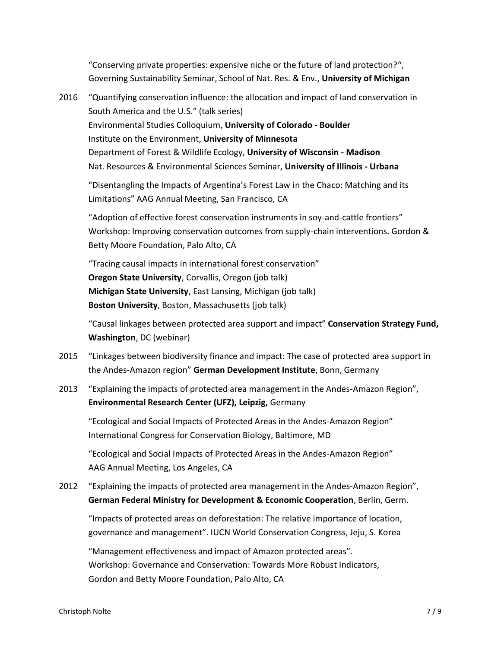"Conserving private properties: expensive niche or the future of land protection?", Governing Sustainability Seminar, School of Nat. Res. & Env., **University of Michigan**

2016 "Quantifying conservation influence: the allocation and impact of land conservation in South America and the U.S." (talk series) Environmental Studies Colloquium, **University of Colorado - Boulder** Institute on the Environment, **University of Minnesota** Department of Forest & Wildlife Ecology, **University of Wisconsin - Madison** Nat. Resources & Environmental Sciences Seminar, **University of Illinois - Urbana** "Disentangling the Impacts of Argentina's Forest Law in the Chaco: Matching and its

Limitations" AAG Annual Meeting, San Francisco, CA

"Adoption of effective forest conservation instruments in soy-and-cattle frontiers" Workshop: Improving conservation outcomes from supply-chain interventions. Gordon & Betty Moore Foundation, Palo Alto, CA

"Tracing causal impacts in international forest conservation" **Oregon State University**, Corvallis, Oregon (job talk) **Michigan State University**, East Lansing, Michigan (job talk) **Boston University**, Boston, Massachusetts (job talk)

"Causal linkages between protected area support and impact" **Conservation Strategy Fund, Washington**, DC (webinar)

- 2015 "Linkages between biodiversity finance and impact: The case of protected area support in the Andes-Amazon region" **German Development Institute**, Bonn, Germany
- 2013 "Explaining the impacts of protected area management in the Andes-Amazon Region", **Environmental Research Center (UFZ), Leipzig,** Germany

"Ecological and Social Impacts of Protected Areas in the Andes-Amazon Region" International Congress for Conservation Biology, Baltimore, MD

"Ecological and Social Impacts of Protected Areas in the Andes-Amazon Region" AAG Annual Meeting, Los Angeles, CA

2012 "Explaining the impacts of protected area management in the Andes-Amazon Region", **German Federal Ministry for Development & Economic Cooperation**, Berlin, Germ.

"Impacts of protected areas on deforestation: The relative importance of location, governance and management". IUCN World Conservation Congress, Jeju, S. Korea

"Management effectiveness and impact of Amazon protected areas". Workshop: Governance and Conservation: Towards More Robust Indicators, Gordon and Betty Moore Foundation, Palo Alto, CA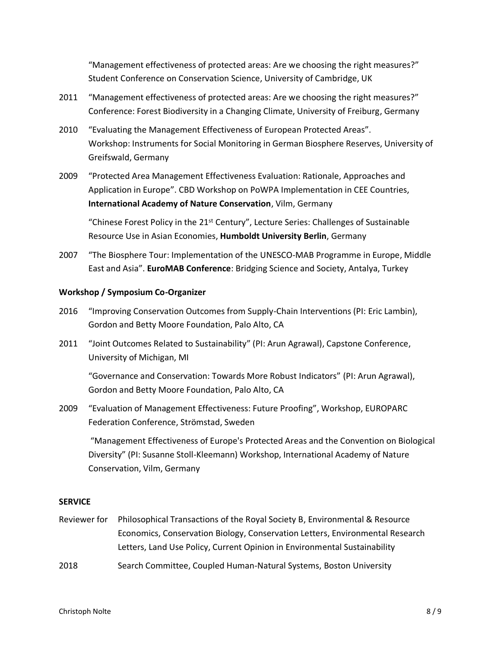"Management effectiveness of protected areas: Are we choosing the right measures?" Student Conference on Conservation Science, University of Cambridge, UK

- 2011 "Management effectiveness of protected areas: Are we choosing the right measures?" Conference: Forest Biodiversity in a Changing Climate, University of Freiburg, Germany
- 2010 "Evaluating the Management Effectiveness of European Protected Areas". Workshop: Instruments for Social Monitoring in German Biosphere Reserves, University of Greifswald, Germany
- 2009 "Protected Area Management Effectiveness Evaluation: Rationale, Approaches and Application in Europe". CBD Workshop on PoWPA Implementation in CEE Countries, **International Academy of Nature Conservation**, Vilm, Germany

"Chinese Forest Policy in the  $21<sup>st</sup>$  Century", Lecture Series: Challenges of Sustainable Resource Use in Asian Economies, **Humboldt University Berlin**, Germany

2007 "The Biosphere Tour: Implementation of the UNESCO-MAB Programme in Europe, Middle East and Asia". **EuroMAB Conference**: Bridging Science and Society, Antalya, Turkey

# **Workshop / Symposium Co-Organizer**

- 2016 "Improving Conservation Outcomes from Supply-Chain Interventions (PI: Eric Lambin), Gordon and Betty Moore Foundation, Palo Alto, CA
- 2011 "Joint Outcomes Related to Sustainability" (PI: Arun Agrawal), Capstone Conference, University of Michigan, MI

"Governance and Conservation: Towards More Robust Indicators" (PI: Arun Agrawal), Gordon and Betty Moore Foundation, Palo Alto, CA

2009 "Evaluation of Management Effectiveness: Future Proofing", Workshop, EUROPARC Federation Conference, Strömstad, Sweden

"Management Effectiveness of Europe's Protected Areas and the Convention on Biological Diversity" (PI: Susanne Stoll-Kleemann) Workshop, International Academy of Nature Conservation, Vilm, Germany

## **SERVICE**

- Reviewer for Philosophical Transactions of the Royal Society B, Environmental & Resource Economics, Conservation Biology, Conservation Letters, Environmental Research Letters, Land Use Policy, Current Opinion in Environmental Sustainability
- 2018 Search Committee, Coupled Human-Natural Systems, Boston University